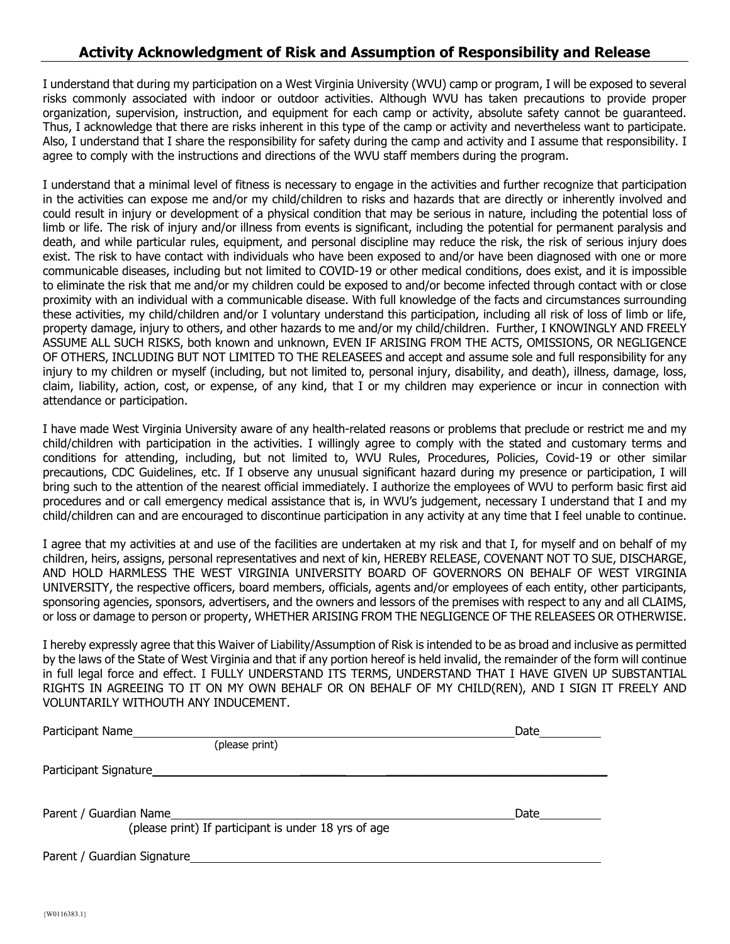## **Activity Acknowledgment of Risk and Assumption of Responsibility and Release**

I understand that during my participation on a West Virginia University (WVU) camp or program, I will be exposed to several risks commonly associated with indoor or outdoor activities. Although WVU has taken precautions to provide proper organization, supervision, instruction, and equipment for each camp or activity, absolute safety cannot be guaranteed. Thus, I acknowledge that there are risks inherent in this type of the camp or activity and nevertheless want to participate. Also, I understand that I share the responsibility for safety during the camp and activity and I assume that responsibility. I agree to comply with the instructions and directions of the WVU staff members during the program.

I understand that a minimal level of fitness is necessary to engage in the activities and further recognize that participation in the activities can expose me and/or my child/children to risks and hazards that are directly or inherently involved and could result in injury or development of a physical condition that may be serious in nature, including the potential loss of limb or life. The risk of injury and/or illness from events is significant, including the potential for permanent paralysis and death, and while particular rules, equipment, and personal discipline may reduce the risk, the risk of serious injury does exist. The risk to have contact with individuals who have been exposed to and/or have been diagnosed with one or more communicable diseases, including but not limited to COVID-19 or other medical conditions, does exist, and it is impossible to eliminate the risk that me and/or my children could be exposed to and/or become infected through contact with or close proximity with an individual with a communicable disease. With full knowledge of the facts and circumstances surrounding these activities, my child/children and/or I voluntary understand this participation, including all risk of loss of limb or life, property damage, injury to others, and other hazards to me and/or my child/children. Further, I KNOWINGLY AND FREELY ASSUME ALL SUCH RISKS, both known and unknown, EVEN IF ARISING FROM THE ACTS, OMISSIONS, OR NEGLIGENCE OF OTHERS, INCLUDING BUT NOT LIMITED TO THE RELEASEES and accept and assume sole and full responsibility for any injury to my children or myself (including, but not limited to, personal injury, disability, and death), illness, damage, loss, claim, liability, action, cost, or expense, of any kind, that I or my children may experience or incur in connection with attendance or participation.

I have made West Virginia University aware of any health-related reasons or problems that preclude or restrict me and my child/children with participation in the activities. I willingly agree to comply with the stated and customary terms and conditions for attending, including, but not limited to, WVU Rules, Procedures, Policies, Covid-19 or other similar precautions, CDC Guidelines, etc. If I observe any unusual significant hazard during my presence or participation, I will bring such to the attention of the nearest official immediately. I authorize the employees of WVU to perform basic first aid procedures and or call emergency medical assistance that is, in WVU's judgement, necessary I understand that I and my child/children can and are encouraged to discontinue participation in any activity at any time that I feel unable to continue.

I agree that my activities at and use of the facilities are undertaken at my risk and that I, for myself and on behalf of my children, heirs, assigns, personal representatives and next of kin, HEREBY RELEASE, COVENANT NOT TO SUE, DISCHARGE, AND HOLD HARMLESS THE WEST VIRGINIA UNIVERSITY BOARD OF GOVERNORS ON BEHALF OF WEST VIRGINIA UNIVERSITY, the respective officers, board members, officials, agents and/or employees of each entity, other participants, sponsoring agencies, sponsors, advertisers, and the owners and lessors of the premises with respect to any and all CLAIMS, or loss or damage to person or property, WHETHER ARISING FROM THE NEGLIGENCE OF THE RELEASEES OR OTHERWISE.

I hereby expressly agree that this Waiver of Liability/Assumption of Risk is intended to be as broad and inclusive as permitted by the laws of the State of West Virginia and that if any portion hereof is held invalid, the remainder of the form will continue in full legal force and effect. I FULLY UNDERSTAND ITS TERMS, UNDERSTAND THAT I HAVE GIVEN UP SUBSTANTIAL RIGHTS IN AGREEING TO IT ON MY OWN BEHALF OR ON BEHALF OF MY CHILD(REN), AND I SIGN IT FREELY AND VOLUNTARILY WITHOUTH ANY INDUCEMENT.

| Participant Name                                     | Date |
|------------------------------------------------------|------|
| (please print)                                       |      |
| Participant Signature                                |      |
| Parent / Guardian Name                               | Date |
| (please print) If participant is under 18 yrs of age |      |
| Parent / Guardian Signature                          |      |